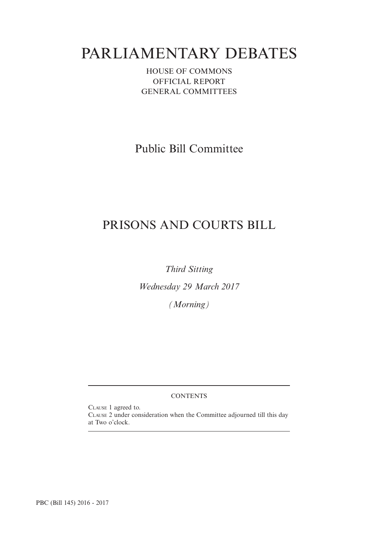# PARLIAMENTARY DEBATES

HOUSE OF COMMONS OFFICIAL REPORT GENERAL COMMITTEES

Public Bill Committee

## PRISONS AND COURTS BILL

*Third Sitting*

*Wednesday 29 March 2017*

*(Morning)*

### **CONTENTS**

CLAUSE 1 agreed to. CLAUSE 2 under consideration when the Committee adjourned till this day at Two o'clock.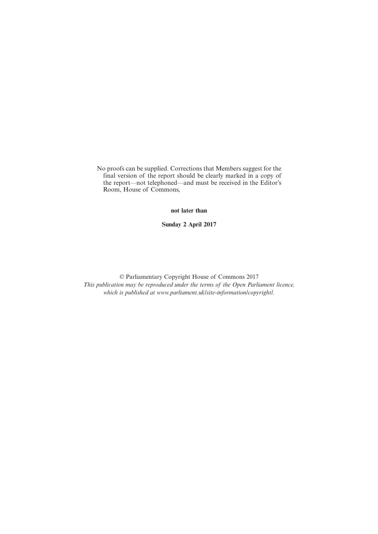No proofs can be supplied. Corrections that Members suggest for the final version of the report should be clearly marked in a copy of the report—not telephoned—and must be received in the Editor's Room, House of Commons,

**not later than**

**Sunday 2 April 2017**

© Parliamentary Copyright House of Commons 2017 *This publication may be reproduced under the terms of the Open Parliament licence, which is published at www.parliament.uk/site-information/copyright/.*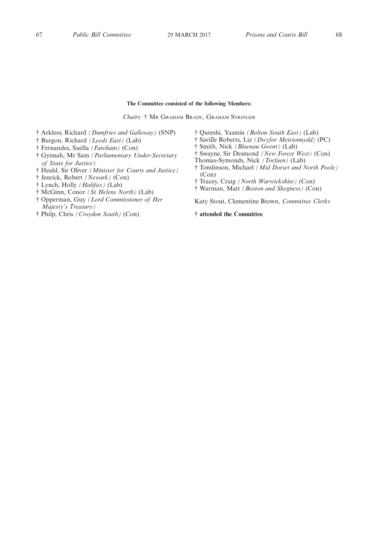#### **The Committee consisted of the following Members:**

*Chairs:* † M<sup>R</sup> GRAHAM BRADY, GRAHAM STRINGER

- † Arkless, Richard *(Dumfries and Galloway)* (SNP)
- † Burgon, Richard *(Leeds East)* (Lab)
- † Fernandes, Suella *(Fareham)* (Con)
- † Gyimah, Mr Sam *(Parliamentary Under-Secretary of State for Justice)*
- † Heald, Sir Oliver *(Minister for Courts and Justice)*
- † Jenrick, Robert *(Newark)* (Con)
- † Lynch, Holly *(Halifax)* (Lab)
- † McGinn, Conor *(St Helens North)* (Lab)
- † Opperman, Guy *(Lord Commissioner of Her Majesty's Treasury)*
- † Philp, Chris *(Croydon South)* (Con)
- † Qureshi, Yasmin *(Bolton South East)* (Lab)
- † Saville Roberts, Liz *(Dwyfor Meirionnydd)* (PC)
- † Smith, Nick *(Blaenau Gwent)* (Lab)
- † Swayne, Sir Desmond *(New Forest West)* (Con)
- Thomas-Symonds, Nick *(Torfaen)* (Lab)
- † Tomlinson, Michael *(Mid Dorset and North Poole)* (Con)
- † Tracey, Craig *(North Warwickshire)* (Con)
- † Warman, Matt *(Boston and Skegness)* (Con)

Katy Stout, Clementine Brown, *Committee Clerks*

#### **† attended the Committee**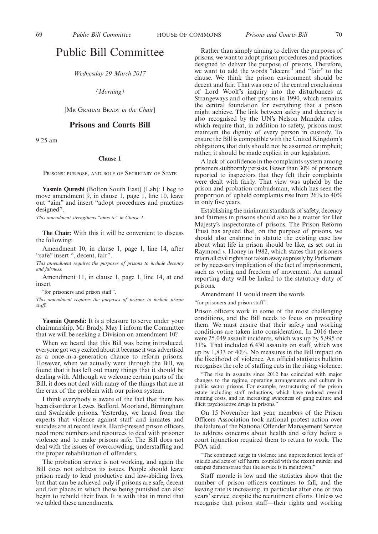### Public Bill Committee

*Wednesday 29 March 2017*

*(Morning)*

[M<sup>R</sup> GRAHAM BRADY *in the Chair*]

#### **Prisons and Courts Bill**

9.25 am

#### **Clause 1**

PRISONS: PURPOSE, AND ROLE OF SECRETARY OF STATE

**Yasmin Qureshi** (Bolton South East) (Lab): I beg to move amendment 9, in clause 1, page 1, line 10, leave out "aim" and insert "adopt procedures and practices designed".

*This amendment strengthens "aims to" in Clause 1.*

**The Chair:** With this it will be convenient to discuss the following:

Amendment 10, in clause 1, page 1, line 14, after "safe" insert ", decent, fair".

*This amendment requires the purposes of prisons to include decency and fairness.*

Amendment 11, in clause 1, page 1, line 14, at end insert

"for prisoners and prison staff".

*This amendment requires the purposes of prisons to include prison staff.*

**Yasmin Qureshi:** It is a pleasure to serve under your chairmanship, Mr Brady. May I inform the Committee that we will be seeking a Division on amendment 10?

When we heard that this Bill was being introduced, everyone got very excited about it because it was advertised as a once-in-a-generation chance to reform prisons. However, when we actually went through the Bill, we found that it has left out many things that it should be dealing with. Although we welcome certain parts of the Bill, it does not deal with many of the things that are at the crux of the problem with our prison system.

I think everybody is aware of the fact that there has been disorder at Lewes, Bedford, Moorland, Birmingham and Swaleside prisons. Yesterday, we heard from the experts that violence against staff and inmates and suicides are at record levels. Hard-pressed prison officers need more numbers and resources to deal with prisoner violence and to make prisons safe. The Bill does not deal with the issues of overcrowding, understaffing and the proper rehabilitation of offenders.

The probation service is not working, and again the Bill does not address its issues. People should leave prison ready to lead productive and law-abiding lives, but that can be achieved only if prisons are safe, decent and fair places in which those being punished can also begin to rebuild their lives. It is with that in mind that we tabled these amendments.

Rather than simply aiming to deliver the purposes of prisons, we want to adopt prison procedures and practices designed to deliver the purpose of prisons. Therefore, we want to add the words "decent" and "fair" to the clause. We think the prison environment should be decent and fair. That was one of the central conclusions of Lord Woolf's inquiry into the disturbances at Strangeways and other prisons in 1990, which remains the central foundation for everything that a prison might achieve. The link between safety and decency is also recognised by the UN's Nelson Mandela rules, which require that, in addition to safety, prisons must maintain the dignity of every person in custody. To ensure the Bill is compatible with the United Kingdom's obligations, that duty should not be assumed or implicit; rather, it should be made explicit in our legislation.

A lack of confidence in the complaints system among prisoners stubbornly persists. Fewer than 30% of prisoners reported to inspectors that they felt their complaints were dealt with fairly. That view was upheld by the prison and probation ombudsman, which has seen the proportion of upheld complaints rise from 26% to 40% in only five years.

Establishing the minimum standards of safety, decency and fairness in prisons should also be a matter for Her Majesty's inspectorate of prisons. The Prison Reform Trust has argued that, on the purpose of prisons, we should also enshrine in statute the existing case law about what life in prison should be like, as set out in Raymond *v.* Honey in 1982, which states that prisoners retain all civil rights not taken away expressly by Parliament or by necessary implication of the fact of imprisonment, such as voting and freedom of movement. An annual reporting duty will be linked to the statutory duty of prisons.

Amendment 11 would insert the words

"for prisoners and prison staff".

Prison officers work in some of the most challenging conditions, and the Bill needs to focus on protecting them. We must ensure that their safety and working conditions are taken into consideration. In 2016 there were 25,049 assault incidents, which was up by 5,995 or 31%. That included 6,430 assaults on staff, which was up by 1,833 or 40%. No measures in the Bill impact on the likelihood of violence. An official statistics bulletin recognises the role of staffing cuts in the rising violence:

"The rise in assaults since 2012 has coincided with major changes to the regime, operating arrangements and culture in public sector prisons. For example, restructuring of the prison estate including staff reductions, which have reduced overall running costs, and an increasing awareness of gang culture and illicit psychoactive drugs in prisons."

On 15 November last year, members of the Prison Officers Association took national protest action over the failure of the National Offender Management Service to address concerns about health and safety before a court injunction required them to return to work. The POA said:

"The continued surge in violence and unprecedented levels of suicide and acts of self harm, coupled with the recent murder and escapes demonstrate that the service is in meltdown."

Staff morale is low and the statistics show that the number of prison officers continues to fall, and the leaving rate is increasing, in particular after one or two years' service, despite the recruitment efforts. Unless we recognise that prison staff—their rights and working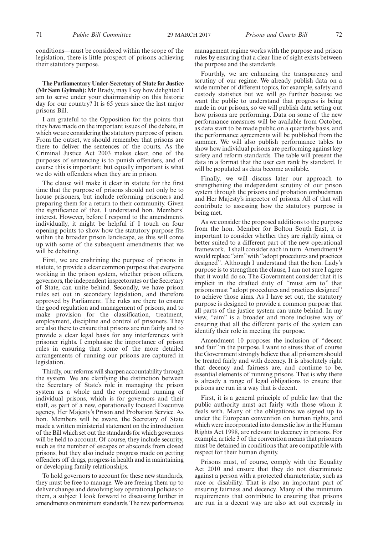conditions—must be considered within the scope of the legislation, there is little prospect of prisons achieving their statutory purpose.

**The Parliamentary Under-Secretary of State for Justice (Mr Sam Gyimah):** Mr Brady, may I say how delighted I am to serve under your chairmanship on this historic day for our country? It is 65 years since the last major prisons Bill.

I am grateful to the Opposition for the points that they have made on the important issues of the debate, in which we are considering the statutory purpose of prison. From the outset, we should remember that prisons are there to deliver the sentences of the courts. As the Criminal Justice Act 2003 makes clear, one of the purposes of sentencing is to punish offenders, and of course this is important; but equally important is what we do with offenders when they are in prison.

The clause will make it clear in statute for the first time that the purpose of prisons should not only be to house prisoners, but include reforming prisoners and preparing them for a return to their community. Given the significance of that, I understand hon. Members' interest. However, before I respond to the amendments individually, it might be helpful if I touch on four opening points to show how the statutory purpose fits within the broader prison landscape, as this will come up with some of the subsequent amendments that we will be debating.

First, we are enshrining the purpose of prisons in statute, to provide a clear common purpose that everyone working in the prison system, whether prison officers, governors, the independent inspectorates or the Secretary of State, can unite behind. Secondly, we have prison rules set out in secondary legislation, and therefore approved by Parliament. The rules are there to ensure the good regulation and management of prisons, and to make provision for the classification, treatment, employment, discipline and control of prisoners. They are also there to ensure that prisons are run fairly and to provide a clear legal basis for any interferences with prisoner rights. I emphasise the importance of prison rules in ensuring that some of the more detailed arrangements of running our prisons are captured in legislation.

Thirdly, our reforms will sharpen accountability through the system. We are clarifying the distinction between the Secretary of State's role in managing the prison system as a whole and the operational running of individual prisons, which is for governors and their staff, as part of a new, operationally focused Executive agency, Her Majesty's Prison and Probation Service. As hon. Members will be aware, the Secretary of State made a written ministerial statement on the introduction of the Bill which set out the standards for which governors will be held to account. Of course, they include security, such as the number of escapes or absconds from closed prisons, but they also include progress made on getting offenders off drugs, progress in health and in maintaining or developing family relationships.

To hold governors to account for these new standards, they must be free to manage. We are freeing them up to deliver change and devolving key operational policies to them, a subject I look forward to discussing further in amendments on minimum standards. The new performance management regime works with the purpose and prison rules by ensuring that a clear line of sight exists between the purpose and the standards.

Fourthly, we are enhancing the transparency and scrutiny of our regime. We already publish data on a wide number of different topics, for example, safety and custody statistics but we will go further because we want the public to understand that progress is being made in our prisons, so we will publish data setting out how prisons are performing. Data on some of the new performance measures will be available from October, as data start to be made public on a quarterly basis, and the performance agreements will be published from the summer. We will also publish performance tables to show how individual prisons are performing against key safety and reform standards. The table will present the data in a format that the user can rank by standard. It will be populated as data become available.

Finally, we will discuss later our approach to strengthening the independent scrutiny of our prison system through the prisons and probation ombudsman and Her Majesty's inspector of prisons. All of that will contribute to assessing how the statutory purpose is being met.

As we consider the proposed additions to the purpose from the hon. Member for Bolton South East, it is important to consider whether they are rightly aims, or better suited to a different part of the new operational framework. I shall consider each in turn. Amendment 9 would replace "aim"with "adopt procedures and practices designed". Although I understand that the hon. Lady's purpose is to strengthen the clause, I am not sure I agree that it would do so. The Government consider that it is implicit in the drafted duty of "must aim to" that prisons must "adopt procedures and practices designed" to achieve those aims. As I have set out, the statutory purpose is designed to provide a common purpose that all parts of the justice system can unite behind. In my view, "aim" is a broader and more inclusive way of ensuring that all the different parts of the system can identify their role in meeting the purpose.

Amendment 10 proposes the inclusion of "decent and fair" in the purpose. I want to stress that of course the Government strongly believe that all prisoners should be treated fairly and with decency. It is absolutely right that decency and fairness are, and continue to be, essential elements of running prisons. That is why there is already a range of legal obligations to ensure that prisons are run in a way that is decent.

First, it is a general principle of public law that the public authority must act fairly with those whom it deals with. Many of the obligations we signed up to under the European convention on human rights, and which were incorporated into domestic law in the Human Rights Act 1998, are relevant to decency in prisons. For example, article 3 of the convention means that prisoners must be detained in conditions that are compatible with respect for their human dignity.

Prisons must, of course, comply with the Equality Act 2010 and ensure that they do not discriminate against a person with a protected characteristic, such as race or disability. That is also an important part of ensuring fairness and decency. Many of the minimum requirements that contribute to ensuring that prisons are run in a decent way are also set out expressly in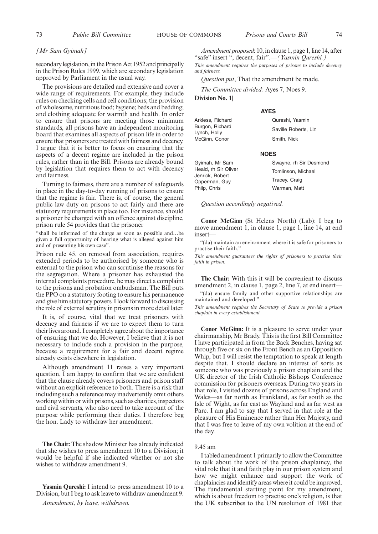#### *[Mr Sam Gyimah]*

secondary legislation, in the Prison Act 1952 and principally in the Prison Rules 1999, which are secondary legislation approved by Parliament in the usual way.

The provisions are detailed and extensive and cover a wide range of requirements. For example, they include rules on checking cells and cell conditions; the provision of wholesome, nutritious food; hygiene; beds and bedding; and clothing adequate for warmth and health. In order to ensure that prisons are meeting those minimum standards, all prisons have an independent monitoring board that examines all aspects of prison life in order to ensure that prisoners are treated with fairness and decency. I argue that it is better to focus on ensuring that the aspects of a decent regime are included in the prison rules, rather than in the Bill. Prisons are already bound by legislation that requires them to act with decency and fairness.

Turning to fairness, there are a number of safeguards in place in the day-to-day running of prisons to ensure that the regime is fair. There is, of course, the general public law duty on prisons to act fairly and there are statutory requirements in place too. For instance, should a prisoner be charged with an offence against discipline, prison rule 54 provides that the prisoner

"shall be informed of the charge as soon as possible and…be given a full opportunity of hearing what is alleged against him and of presenting his own case".

Prison rule 45, on removal from association, requires extended periods to be authorised by someone who is external to the prison who can scrutinise the reasons for the segregation. Where a prisoner has exhausted the internal complaints procedure, he may direct a complaint to the prisons and probation ombudsman. The Bill puts the PPO on a statutory footing to ensure his permanence and give him statutory powers. I look forward to discussing the role of external scrutiny in prisons in more detail later.

It is, of course, vital that we treat prisoners with decency and fairness if we are to expect them to turn their lives around. I completely agree about the importance of ensuring that we do. However, I believe that it is not necessary to include such a provision in the purpose, because a requirement for a fair and decent regime already exists elsewhere in legislation.

Although amendment 11 raises a very important question, I am happy to confirm that we are confident that the clause already covers prisoners and prison staff without an explicit reference to both. There is a risk that including such a reference may inadvertently omit others working within or with prisons, such as charities, inspectors and civil servants, who also need to take account of the purpose while performing their duties. I therefore beg the hon. Lady to withdraw her amendment.

**The Chair:** The shadow Minister has already indicated that she wishes to press amendment 10 to a Division; it would be helpful if she indicated whether or not she wishes to withdraw amendment 9.

**Yasmin Qureshi:** I intend to press amendment 10 to a Division, but I beg to ask leave to withdraw amendment 9.

*Amendment, by leave, withdrawn.*

*Amendment proposed*: 10, in clause 1, page 1, line 14, after "safe" insert ", decent, fair".—*(Yasmin Qureshi.) This amendment requires the purposes of prisons to include decency and fairness.*

*Question put*, That the amendment be made.

*The Committee divided:* Ayes 7, Noes 9.

**Division No. 1]**

#### **AYES**

| Qureshi, Yasmin      |
|----------------------|
| Saville Roberts, Liz |
| Smith, Nick          |
|                      |

#### **NOES**

Gyimah, Mr Sam Heald, rh Sir Oliver Jenrick, Robert Opperman, Guy Philp, Chris Swayne, rh Sir Desmond Tomlinson, Michael Tracey, Craig Warman, Matt

*Question accordingly negatived.*

**Conor McGinn** (St Helens North) (Lab): I beg to move amendment 1, in clause 1, page 1, line 14, at end insert—

"(da) maintain an environment where it is safe for prisoners to practise their faith."

*This amendment guarantees the rights of prisoners to practise their faith in prison.*

**The Chair:** With this it will be convenient to discuss amendment 2, in clause 1, page 2, line 7, at end insert—

"(da) ensure family and other supportive relationships are maintained and developed."

*This amendment requires the Secretary of State to provide a prison chaplain in every establishment.*

**Conor McGinn:** It is a pleasure to serve under your chairmanship, Mr Brady. This is the first Bill Committee I have participated in from the Back Benches, having sat through five or six on the Front Bench as an Opposition Whip, but I will resist the temptation to speak at length despite that. I should declare an interest of sorts as someone who was previously a prison chaplain and the UK director of the Irish Catholic Bishops Conference commission for prisoners overseas. During two years in that role, I visited dozens of prisons across England and Wales—as far north as Frankland, as far south as the Isle of Wight, as far east as Wayland and as far west as Parc. I am glad to say that I served in that role at the pleasure of His Eminence rather than Her Majesty, and that I was free to leave of my own volition at the end of the day.

#### 9.45 am

I tabled amendment 1 primarily to allow the Committee to talk about the work of the prison chaplaincy, the vital role that it and faith play in our prison system and how we might enhance and support the work of chaplaincies and identify areas where it could be improved. The fundamental starting point for my amendment, which is about freedom to practise one's religion, is that the UK subscribes to the UN resolution of 1981 that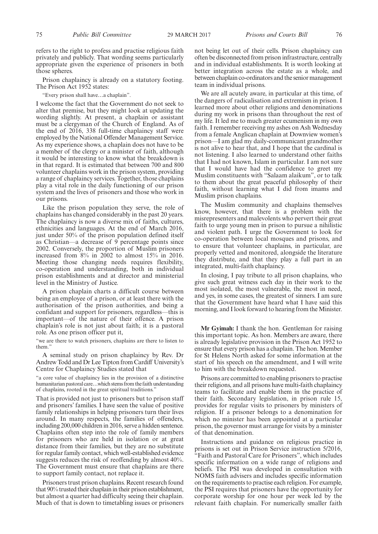refers to the right to profess and practise religious faith privately and publicly. That wording seems particularly appropriate given the experience of prisoners in both those spheres.

Prison chaplaincy is already on a statutory footing. The Prison Act 1952 states:

"Every prison shall have…a chaplain".

I welcome the fact that the Government do not seek to alter that premise, but they might look at updating the wording slightly. At present, a chaplain or assistant must be a clergyman of the Church of England. As of the end of 2016, 338 full-time chaplaincy staff were employed by the National Offender Management Service. As my experience shows, a chaplain does not have to be a member of the clergy or a minister of faith, although it would be interesting to know what the breakdown is in that regard. It is estimated that between 700 and 800 volunteer chaplains work in the prison system, providing a range of chaplaincy services. Together, those chaplains play a vital role in the daily functioning of our prison system and the lives of prisoners and those who work in our prisons.

Like the prison population they serve, the role of chaplains has changed considerably in the past 20 years. The chaplaincy is now a diverse mix of faiths, cultures, ethnicities and languages. At the end of March 2016, just under 50% of the prison population defined itself as Christian—a decrease of 9 percentage points since 2002. Conversely, the proportion of Muslim prisoners increased from 8% in 2002 to almost 15% in 2016. Meeting those changing needs requires flexibility, co-operation and understanding, both in individual prison establishments and at director and ministerial level in the Ministry of Justice.

A prison chaplain charts a difficult course between being an employee of a prison, or at least there with the authorisation of the prison authorities, and being a confidant and support for prisoners, regardless—this is important—of the nature of their offence. A prison chaplain's role is not just about faith; it is a pastoral role. As one prison officer put it,

"we are there to watch prisoners, chaplains are there to listen to them."

A seminal study on prison chaplaincy by Rev. Dr Andrew Todd and Dr Lee Tipton from Cardiff University's Centre for Chaplaincy Studies stated that

"a core value of chaplaincy lies in the provision of a distinctive humanitarian pastoral care…which stems from the faith understanding of chaplains, rooted in the great spiritual traditions."

That is provided not just to prisoners but to prison staff and prisoners' families. I have seen the value of positive family relationships in helping prisoners turn their lives around. In many respects, the families of offenders, including 200,000 children in 2016, serve a hidden sentence. Chaplains often step into the role of family members for prisoners who are held in isolation or at great distance from their families, but they are no substitute for regular family contact, which well-established evidence suggests reduces the risk of reoffending by almost 40%. The Government must ensure that chaplains are there to support family contact, not replace it.

Prisoners trust prison chaplains. Recent research found that 90% trusted their chaplain in their prison establishment, but almost a quarter had difficulty seeing their chaplain. Much of that is down to timetabling issues or prisoners not being let out of their cells. Prison chaplaincy can often be disconnected from prison infrastructure, centrally and in individual establishments. It is worth looking at better integration across the estate as a whole, and between chaplain co-ordinators and the senior management team in individual prisons.

We are all acutely aware, in particular at this time, of the dangers of radicalisation and extremism in prison. I learned more about other religions and denominations during my work in prisons than throughout the rest of my life. It led me to much greater ecumenism in my own faith. I remember receiving my ashes on Ash Wednesday from a female Anglican chaplain at Downview women's prison—I am glad my daily-communicant grandmother is not alive to hear that, and I hope that the cardinal is not listening. I also learned to understand other faiths that I had not known, Islam in particular. I am not sure that I would have had the confidence to greet my Muslim constituents with "Salaam alaikum", or to talk to them about the great peaceful philosophy of their faith, without learning what I did from imams and Muslim prison chaplains.

The Muslim community and chaplains themselves know, however, that there is a problem with the misrepresenters and malevolents who pervert their great faith to urge young men in prison to pursue a nihilistic and violent path. I urge the Government to look for co-operation between local mosques and prisons, and to ensure that volunteer chaplains, in particular, are properly vetted and monitored, alongside the literature they distribute, and that they play a full part in an integrated, multi-faith chaplaincy.

In closing, I pay tribute to all prison chaplains, who give such great witness each day in their work to the most isolated, the most vulnerable, the most in need, and yes, in some cases, the greatest of sinners. I am sure that the Government have heard what I have said this morning, and I look forward to hearing from the Minister.

**Mr Gyimah:** I thank the hon. Gentleman for raising this important topic. As hon. Members are aware, there is already legislative provision in the Prison Act 1952 to ensure that every prison has a chaplain. The hon. Member for St Helens North asked for some information at the start of his speech on the amendment, and I will write to him with the breakdown requested.

Prisons are committed to enabling prisoners to practise their religions, and all prisons have multi-faith chaplaincy teams to facilitate and enable them in the practice of their faith. Secondary legislation, in prison rule 15, provides for regular visits to prisoners by ministers of religion. If a prisoner belongs to a denomination for which no minister has been appointed at a particular prison, the governor must arrange for visits by a minister of that denomination.

Instructions and guidance on religious practice in prisons is set out in Prison Service instruction 5/2016, "Faith and Pastoral Care for Prisoners", which includes specific information on a wide range of religions and beliefs. The PSI was developed in consultation with NOMS faith advisers and includes specific information on the requirements to practise each religion. For example, the PSI requires that prisoners have the opportunity for corporate worship for one hour per week led by the relevant faith chaplain. For numerically smaller faith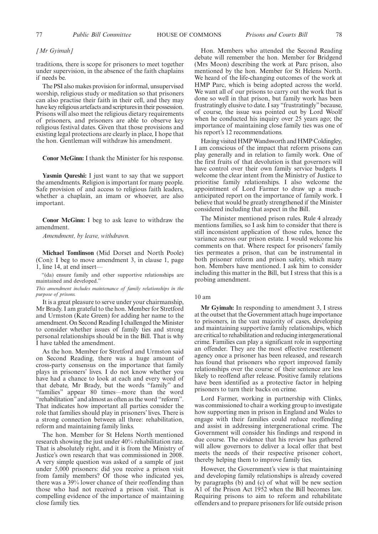#### *[Mr Gyimah]*

traditions, there is scope for prisoners to meet together under supervision, in the absence of the faith chaplains if needs be.

The PSI also makes provision for informal, unsupervised worship, religious study or meditation so that prisoners can also practise their faith in their cell, and they may have key religious artefacts and scriptures in their possession. Prisons will also meet the religious dietary requirements of prisoners, and prisoners are able to observe key religious festival dates. Given that those provisions and existing legal protections are clearly in place, I hope that the hon. Gentleman will withdraw his amendment.

**Conor McGinn:** I thank the Minister for his response.

**Yasmin Qureshi:** I just want to say that we support the amendments. Religion is important for many people. Safe provision of and access to religious faith leaders, whether a chaplain, an imam or whoever, are also important.

**Conor McGinn:** I beg to ask leave to withdraw the amendment.

*Amendment, by leave, withdrawn.*

**Michael Tomlinson** (Mid Dorset and North Poole) (Con): I beg to move amendment 3, in clause 1, page 1, line 14, at end insert—

"(da) ensure family and other supportive relationships are maintained and developed."

*This amendment includes maintenance of family relationships in the purpose of prisons.*

It is a great pleasure to serve under your chairmanship, Mr Brady. I am grateful to the hon. Member for Stretford and Urmston (Kate Green) for adding her name to the amendment. On Second Reading I challenged the Minister to consider whether issues of family ties and strong personal relationships should be in the Bill. That is why I have tabled the amendment.

As the hon. Member for Stretford and Urmston said on Second Reading, there was a huge amount of cross-party consensus on the importance that family plays in prisoners' lives. I do not know whether you have had a chance to look at each and every word of that debate, Mr Brady, but the words "family" and "families" appear 80 times—more than the word "rehabilitation" and almost as often as the word "reform". That indicates how important all parties consider the role that families should play in prisoners' lives. There is a strong connection between all three: rehabilitation, reform and maintaining family links.

The hon. Member for St Helens North mentioned research showing the just under 40% rehabilitation rate. That is absolutely right, and it is from the Ministry of Justice's own research that was commissioned in 2008. A very simple question was asked of a sample of just under 5,000 prisoners: did you receive a prison visit from family members? Of those who indicated yes, there was a 39% lower chance of their reoffending than those who had not received a prison visit. That is compelling evidence of the importance of maintaining close family ties.

Hon. Members who attended the Second Reading debate will remember the hon. Member for Bridgend (Mrs Moon) describing the work at Parc prison, also mentioned by the hon. Member for St Helens North. We heard of the life-changing outcomes of the work at HMP Parc, which is being adopted across the world. We want all of our prisons to carry out the work that is done so well in that prison, but family work has been frustratingly elusive to date. I say "frustratingly" because, of course, the issue was pointed out by Lord Woolf when he conducted his inquiry over 25 years ago; the importance of maintaining close family ties was one of his report's 12 recommendations.

Having visited HMP Wandsworth and HMP Coldingley, I am conscious of the impact that reform prisons can play generally and in relation to family work. One of the first fruits of that devolution is that governors will have control over their own family service budgets. I welcome the clear intent from the Ministry of Justice to prioritise family relationships. I also welcome the appointment of Lord Farmer to draw up a muchanticipated report on the importance of family work. I believe that would be greatly strengthened if the Minister considered including that aspect in the Bill.

The Minister mentioned prison rules. Rule 4 already mentions families, so I ask him to consider that there is still inconsistent application of those rules, hence the variance across our prison estate. I would welcome his comments on that. Where respect for prisoners' family ties permeates a prison, that can be instrumental in both prisoner reform and prison safety, which many hon. Members have mentioned. I ask him to consider including this matter in the Bill, but I stress that this is a probing amendment.

#### 10 am

**Mr Gyimah:** In responding to amendment 3, I stress at the outset that the Government attach huge importance to prisoners, in the vast majority of cases, developing and maintaining supportive family relationships, which are critical to rehabilitation and reducing intergenerational crime. Families can play a significant role in supporting an offender. They are the most effective resettlement agency once a prisoner has been released, and research has found that prisoners who report improved family relationships over the course of their sentence are less likely to reoffend after release. Positive family relations have been identified as a protective factor in helping prisoners to turn their backs on crime.

Lord Farmer, working in partnership with Clinks, was commissioned to chair a working group to investigate how supporting men in prison in England and Wales to engage with their families could reduce reoffending and assist in addressing intergenerational crime. The Government will consider his findings and respond in due course. The evidence that his review has gathered will allow governors to deliver a local offer that best meets the needs of their respective prisoner cohort, thereby helping them to improve family ties.

However, the Government's view is that maintaining and developing family relationships is already covered by paragraphs (b) and (c) of what will be new section A1 of the Prison Act 1952 when the Bill becomes law. Requiring prisons to aim to reform and rehabilitate offenders and to prepare prisoners for life outside prison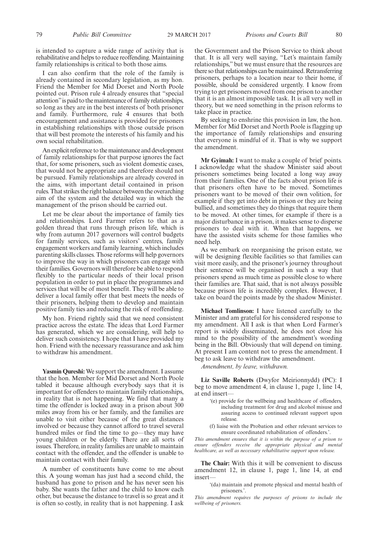is intended to capture a wide range of activity that is rehabilitative and helps to reduce reoffending. Maintaining family relationships is critical to both those aims.

I can also confirm that the role of the family is already contained in secondary legislation, as my hon. Friend the Member for Mid Dorset and North Poole pointed out. Prison rule 4 already ensures that "special attention"is paid to the maintenance of family relationships, so long as they are in the best interests of both prisoner and family. Furthermore, rule 4 ensures that both encouragement and assistance is provided for prisoners in establishing relationships with those outside prison that will best promote the interests of his family and his own social rehabilitation.

An explicit reference to the maintenance and development of family relationships for that purpose ignores the fact that, for some prisoners, such as violent domestic cases, that would not be appropriate and therefore should not be pursued. Family relationships are already covered in the aims, with important detail contained in prison rules. That strikes the right balance between the overarching aim of the system and the detailed way in which the management of the prison should be carried out.

Let me be clear about the importance of family ties and relationships. Lord Farmer refers to that as a golden thread that runs through prison life, which is why from autumn 2017 governors will control budgets for family services, such as visitors' centres, family engagement workers and family learning, which includes parenting skills classes. Those reforms will help governors to improve the way in which prisoners can engage with their families. Governors will therefore be able to respond flexibly to the particular needs of their local prison population in order to put in place the programmes and services that will be of most benefit. They will be able to deliver a local family offer that best meets the needs of their prisoners, helping them to develop and maintain positive family ties and reducing the risk of reoffending.

My hon. Friend rightly said that we need consistent practice across the estate. The ideas that Lord Farmer has generated, which we are considering, will help to deliver such consistency. I hope that I have provided my hon. Friend with the necessary reassurance and ask him to withdraw his amendment.

**Yasmin Qureshi:** We support the amendment. I assume that the hon. Member for Mid Dorset and North Poole tabled it because although everybody says that it is important for offenders to maintain family relationships, in reality that is not happening. We find that many a time the offender is locked away in a prison about 300 miles away from his or her family, and the families are unable to visit either because of the great distances involved or because they cannot afford to travel several hundred miles or find the time to go—they may have young children or be elderly. There are all sorts of issues. Therefore, in reality families are unable to maintain contact with the offender, and the offender is unable to maintain contact with their family.

A number of constituents have come to me about this. A young woman has just had a second child, the husband has gone to prison and he has never seen his baby. She wants the father and the child to know each other, but because the distance to travel is so great and it is often so costly, in reality that is not happening. I ask the Government and the Prison Service to think about that. It is all very well saying, "Let's maintain family relationships," but we must ensure that the resources are there so that relationships can be maintained. Retransferring prisoners, perhaps to a location near to their home, if possible, should be considered urgently. I know from trying to get prisoners moved from one prison to another that it is an almost impossible task. It is all very well in theory, but we need something in the prison reforms to take place in practice.

By seeking to enshrine this provision in law, the hon. Member for Mid Dorset and North Poole is flagging up the importance of family relationships and ensuring that everyone is mindful of it. That is why we support the amendment.

**Mr Gyimah:** I want to make a couple of brief points. I acknowledge what the shadow Minister said about prisoners sometimes being located a long way away from their families. One of the facts about prison life is that prisoners often have to be moved. Sometimes prisoners want to be moved of their own volition, for example if they get into debt in prison or they are being bullied, and sometimes they do things that require them to be moved. At other times, for example if there is a major disturbance in a prison, it makes sense to disperse prisoners to deal with it. When that happens, we have the assisted visits scheme for those families who need help.

As we embark on reorganising the prison estate, we will be designing flexible facilities so that families can visit more easily, and the prisoner's journey throughout their sentence will be organised in such a way that prisoners spend as much time as possible close to where their families are. That said, that is not always possible because prison life is incredibly complex. However, I take on board the points made by the shadow Minister.

**Michael Tomlinson:** I have listened carefully to the Minister and am grateful for his considered response to my amendment. All I ask is that when Lord Farmer's report is widely disseminated, he does not close his mind to the possibility of the amendment's wording being in the Bill. Obviously that will depend on timing. At present I am content not to press the amendment. I beg to ask leave to withdraw the amendment.

*Amendment, by leave, withdrawn.*

**Liz Saville Roberts** (Dwyfor Meirionnydd) (PC): I beg to move amendment 4, in clause 1, page 1, line 14, at end insert—

- '(e) provide for the wellbeing and healthcare of offenders, including treatment for drug and alcohol misuse and assuring access to continued relevant support upon release.
- (f) liaise with the Probation and other relevant services to ensure coordinated rehabilitation of offenders.'.

*This amendment ensures that it is within the purpose of a prison to ensure offenders receive the appropriate physical and mental healthcare, as well as necessary rehabilitative support upon release.*

**The Chair:** With this it will be convenient to discuss amendment 12, in clause 1, page 1, line 14, at end insert—

'(da) maintain and promote physical and mental health of prisoners.'

*This amendment requires the purposes of prisons to include the wellbeing of prisoners.*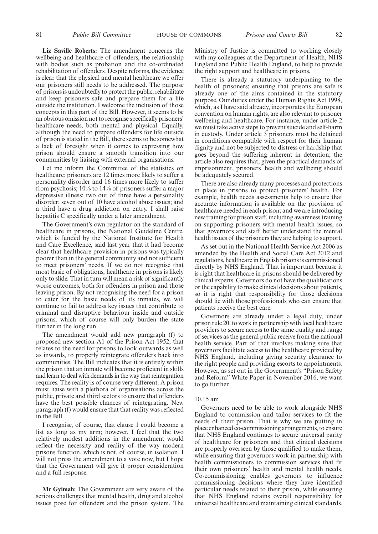**Liz Saville Roberts:** The amendment concerns the wellbeing and healthcare of offenders, the relationship with bodies such as probation and the co-ordinated rehabilitation of offenders. Despite reforms, the evidence is clear that the physical and mental healthcare we offer our prisoners still needs to be addressed. The purpose of prisons is undoubtedly to protect the public, rehabilitate and keep prisoners safe and prepare them for a life outside the institution. I welcome the inclusion of those concepts in this part of the Bill. However, it seems to be an obvious omission not to recognise specifically prisoners' healthcare needs, both mental and physical. Equally, although the need to prepare offenders for life outside of prison is stated in the Bill, there seems to be somewhat a lack of foresight when it comes to expressing how prison should ensure a smooth transition into our communities by liaising with external organisations.

Let me inform the Committee of the statistics on healthcare: prisoners are 12 times more likely to suffer a personality disorder and 16 times more likely to suffer from psychosis; 10% to 14% of prisoners suffer a major depressive illness; two out of three have a personality disorder; seven out of 10 have alcohol abuse issues; and a third have a drug addiction on entry. I shall raise hepatitis C specifically under a later amendment.

The Government's own regulator on the standard of healthcare in prisons, the National Guideline Centre, which is funded by the National Institute for Health and Care Excellence, said last year that it had become clear that healthcare provision in prisons was typically poorer than in the general community and not sufficient to meet prisoners' needs. If we do not recognise that most basic of obligations, healthcare in prisons is likely only to slide. That in turn will mean a risk of significantly worse outcomes, both for offenders in prison and those leaving prison. By not recognising the need for a prison to cater for the basic needs of its inmates, we will continue to fail to address key issues that contribute to criminal and disruptive behaviour inside and outside prisons, which of course will only burden the state further in the long run.

The amendment would add new paragraph (f) to proposed new section A1 of the Prison Act 1952; that relates to the need for prisons to look outwards as well as inwards, to properly reintegrate offenders back into communities. The Bill indicates that it is entirely within the prison that an inmate will become proficient in skills and learn to deal with demands in the way that reintegration requires. The reality is of course very different. A prison must liaise with a plethora of organisations across the public, private and third sectors to ensure that offenders have the best possible chances of reintegrating. New paragraph (f) would ensure that that reality was reflected in the Bill.

I recognise, of course, that clause 1 could become a list as long as my arm; however, I feel that the two relatively modest additions in the amendment would reflect the necessity and reality of the way modern prisons function, which is not, of course, in isolation. I will not press the amendment to a vote now, but I hope that the Government will give it proper consideration and a full response.

**Mr Gyimah:** The Government are very aware of the serious challenges that mental health, drug and alcohol issues pose for offenders and the prison system. The Ministry of Justice is committed to working closely with my colleagues at the Department of Health, NHS England and Public Health England, to help to provide the right support and healthcare in prisons.

There is already a statutory underpinning to the health of prisoners; ensuring that prisons are safe is already one of the aims contained in the statutory purpose. Our duties under the Human Rights Act 1998, which, as I have said already, incorporates the European convention on human rights, are also relevant to prisoner wellbeing and healthcare. For instance, under article 2 we must take active steps to prevent suicide and self-harm in custody. Under article 3 prisoners must be detained in conditions compatible with respect for their human dignity and not be subjected to distress or hardship that goes beyond the suffering inherent in detention; the article also requires that, given the practical demands of imprisonment, prisoners' health and wellbeing should be adequately secured.

There are also already many processes and protections in place in prisons to protect prisoners' health. For example, health needs assessments help to ensure that accurate information is available on the provision of healthcare needed in each prison; and we are introducing new training for prison staff, including awareness training on supporting prisoners with mental health issues, so that governors and staff better understand the mental health issues of the prisoners they are helping to support.

As set out in the National Health Service Act 2006 as amended by the Health and Social Care Act 2012 and regulations, healthcare in English prisons is commissioned directly by NHS England. That is important because it is right that healthcare in prisons should be delivered by clinical experts. Governors do not have the qualifications or the capability to make clinical decisions about patients, so it is right that responsibility for those decisions should lie with those professionals who can ensure that patients receive the best care.

Governors are already under a legal duty, under prison rule 20, to work in partnership with local healthcare providers to secure access to the same quality and range of services as the general public receive from the national health service. Part of that involves making sure that governors facilitate access to the healthcare provided by NHS England, including giving security clearance to the right people and providing escorts to appointments. However, as set out in the Government's "Prison Safety and Reform" White Paper in November 2016, we want to go further.

#### 10.15 am

Governors need to be able to work alongside NHS England to commission and tailor services to fit the needs of their prison. That is why we are putting in place enhanced co-commissioning arrangements, to ensure that NHS England continues to secure universal parity of healthcare for prisoners and that clinical decisions are properly overseen by those qualified to make them, while ensuring that governors work in partnership with health commissioners to commission services that fit their own prisoners' health and mental health needs. Co-commissioning enables governors to influence commissioning decisions where they have identified particular needs related to their prison, while ensuring that NHS England retains overall responsibility for universal healthcare and maintaining clinical standards.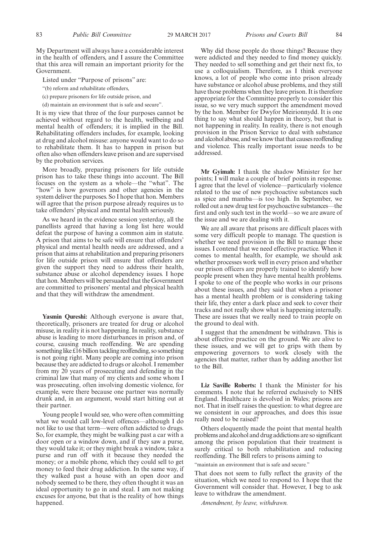My Department will always have a considerable interest in the health of offenders, and I assure the Committee that this area will remain an important priority for the Government.

Listed under "Purpose of prisons" are:

"(b) reform and rehabilitate offenders,

(c) prepare prisoners for life outside prison, and

(d) maintain an environment that is safe and secure".

It is my view that three of the four purposes cannot be achieved without regard to the health, wellbeing and mental health of offenders; it is implied in the Bill. Rehabilitating offenders includes, for example, looking at drug and alcohol misuse: anyone would want to do so to rehabilitate them. It has to happen in prison but often also when offenders leave prison and are supervised by the probation services.

More broadly, preparing prisoners for life outside prison has to take these things into account. The Bill focuses on the system as a whole—the "what". The "how" is how governors and other agencies in the system deliver the purposes. So I hope that hon. Members will agree that the prison purpose already requires us to take offenders' physical and mental health seriously.

As we heard in the evidence session yesterday, all the panellists agreed that having a long list here would defeat the purpose of having a common aim in statute. A prison that aims to be safe will ensure that offenders' physical and mental health needs are addressed, and a prison that aims at rehabilitation and preparing prisoners for life outside prison will ensure that offenders are given the support they need to address their health, substance abuse or alcohol dependency issues. I hope that hon. Members will be persuaded that the Government are committed to prisoners' mental and physical health and that they will withdraw the amendment.

**Yasmin Qureshi:** Although everyone is aware that, theoretically, prisoners are treated for drug or alcohol misuse, in reality it is not happening. In reality, substance abuse is leading to more disturbances in prison and, of course, causing much reoffending. We are spending something like £16 billion tackling reoffending, so something is not going right. Many people are coming into prison because they are addicted to drugs or alcohol. I remember from my 20 years of prosecuting and defending in the criminal law that many of my clients and some whom I was prosecuting, often involving domestic violence, for example, were there because one partner was normally drunk and, in an argument, would start hitting out at their partner.

Young people I would see, who were often committing what we would call low-level offences—although I do not like to use that term—were often addicted to drugs. So, for example, they might be walking past a car with a door open or a window down, and if they saw a purse, they would take it; or they might break a window, take a purse and run off with it because they needed the money; or a mobile phone, which they could sell to get money to feed their drug addiction. In the same way, if they walked past a house with an open door and nobody seemed to be there, they often thought it was an ideal opportunity to go in and steal. I am not making excuses for anyone, but that is the reality of how things happened.

Why did those people do those things? Because they were addicted and they needed to find money quickly. They needed to sell something and get their next fix, to use a colloquialism. Therefore, as I think everyone knows, a lot of people who come into prison already have substance or alcohol abuse problems, and they still have those problems when they leave prison. It is therefore appropriate for the Committee properly to consider this issue, so we very much support the amendment moved by the hon. Member for Dwyfor Meirionnydd. It is one thing to say what should happen in theory, but that is not happening in reality. In reality, there is not enough provision in the Prison Service to deal with substance and alcohol abuse, and we know that that causes reoffending and violence. This really important issue needs to be addressed.

**Mr Gyimah:** I thank the shadow Minister for her points; I will make a couple of brief points in response. I agree that the level of violence—particularly violence related to the use of new psychoactive substances such as spice and mamba—is too high. In September, we rolled out a new drug test for psychoactive substances—the first and only such test in the world—so we are aware of the issue and we are dealing with it.

We are all aware that prisons are difficult places with some very difficult people to manage. The question is whether we need provision in the Bill to manage these issues. I contend that we need effective practice. When it comes to mental health, for example, we should ask whether processes work well in every prison and whether our prison officers are properly trained to identify how people present when they have mental health problems. I spoke to one of the people who works in our prisons about these issues, and they said that when a prisoner has a mental health problem or is considering taking their life, they enter a dark place and seek to cover their tracks and not really show what is happening internally. These are issues that we really need to train people on the ground to deal with.

I suggest that the amendment be withdrawn. This is about effective practice on the ground. We are alive to these issues, and we will get to grips with them by empowering governors to work closely with the agencies that matter, rather than by adding another list to the Bill.

**Liz Saville Roberts:** I thank the Minister for his comments. I note that he referred exclusively to NHS England. Healthcare is devolved in Wales; prisons are not. That in itself raises the question: to what degree are we consistent in our approaches, and does this issue really need to be raised?

Others eloquently made the point that mental health problems and alcohol and drug addictions are so significant among the prison population that their treatment is surely critical to both rehabilitation and reducing reoffending. The Bill refers to prisons aiming to

"maintain an environment that is safe and secure."

That does not seem to fully reflect the gravity of the situation, which we need to respond to. I hope that the Government will consider that. However, I beg to ask leave to withdraw the amendment.

*Amendment, by leave, withdrawn.*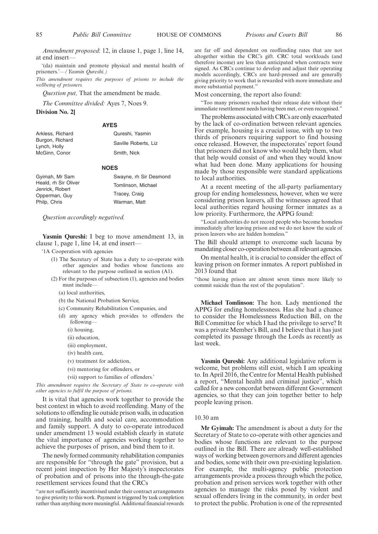*Amendment proposed*: 12, in clause 1, page 1, line 14, at end insert-

'(da) maintain and promote physical and mental health of prisoners.'—*(Yasmin Qureshi.)*

*This amendment requires the purposes of prisons to include the wellbeing of prisoners.*

*Question put,* That the amendment be made.

*The Committee divided:* Ayes 7, Noes 9.

**Division No. 2]**

#### **AYES**

| Arkless, Richard                | Qureshi, Yasmin      |
|---------------------------------|----------------------|
| Burgon, Richard<br>Lynch, Holly | Saville Roberts, Liz |
| McGinn, Conor                   | Smith, Nick          |

#### **NOES**

| Gyimah, Mr Sam                   | Swayne, rh Sir Desmond |
|----------------------------------|------------------------|
| Heald, rh Sir Oliver             | Tomlinson, Michael     |
| Jenrick, Robert<br>Opperman, Guy | Tracey, Craig          |
| Philp, Chris                     | Warman, Matt           |

*Question accordingly negatived.*

**Yasmin Qureshi:** I beg to move amendment 13, in clause 1, page 1, line 14, at end insert—

- '1A Cooperation with agencies
	- (1) The Secretary of State has a duty to co-operate with other agencies and bodies whose functions are relevant to the purpose outlined in section (A1).
	- (2) For the purposes of subsection (1), agencies and bodies must include—
		- (a) local authorities,
		- (b) the National Probation Service,
		- (c) Community Rehabilitation Companies, and
		- (d) any agency which provides to offenders the following—
			- (i) housing,
			- (ii) education,
			- (iii) employment,
			- (iv) health care,
			- (v) treatment for addiction,
			- (vi) mentoring for offenders, or
			- (vii) support to families of offenders.'

*This amendment requires the Secretary of State to co-operate with other agencies to fulfil the purpose of prisons.*

It is vital that agencies work together to provide the best context in which to avoid reoffending. Many of the solutions to offending lie outside prison walls, in education and training, health and social care, accommodation and family support. A duty to co-operate introduced under amendment 13 would establish clearly in statute the vital importance of agencies working together to achieve the purposes of prison, and bind them to it.

The newly formed community rehabilitation companies are responsible for "through the gate" provision, but a recent joint inspection by Her Majesty's inspectorates of probation and of prisons into the through-the-gate resettlement services found that the CRCs

"are not sufficiently incentivised under their contract arrangements to give priority to this work. Payment is triggered by task completion rather than anything more meaningful. Additional financial rewards are far off and dependent on reoffending rates that are not altogether within the CRC's gift. CRC total workloads (and therefore income) are less than anticipated when contracts were signed. As CRCs continue to develop and adjust their operating models accordingly, CRCs are hard-pressed and are generally giving priority to work that is rewarded with more immediate and more substantial payment."

Most concerning, the report also found:

"Too many prisoners reached their release date without their immediate resettlement needs having been met, or even recognised."

The problems associated with CRCs are only exacerbated by the lack of co-ordination between relevant agencies. For example, housing is a crucial issue, with up to two thirds of prisoners requiring support to find housing once released. However, the inspectorates' report found that prisoners did not know who would help them, what that help would consist of and when they would know what had been done. Many applications for housing made by those responsible were standard applications to local authorities.

At a recent meeting of the all-party parliamentary group for ending homelessness, however, when we were considering prison leavers, all the witnesses agreed that local authorities regard housing former inmates as a low priority. Furthermore, the APPG found:

"Local authorities do not record people who become homeless immediately after leaving prison and we do not know the scale of prison leavers who are hidden homeless."

The Bill should attempt to overcome such lacuna by mandating closer co-operation between all relevant agencies.

On mental health, it is crucial to consider the effect of leaving prison on former inmates. A report published in 2013 found that

"those leaving prison are almost seven times more likely to commit suicide than the rest of the population".

**Michael Tomlinson:** The hon. Lady mentioned the APPG for ending homelessness. Has she had a chance to consider the Homelessness Reduction Bill, on the Bill Committee for which I had the privilege to serve? It was a private Member's Bill, and I believe that it has just completed its passage through the Lords as recently as last week.

**Yasmin Qureshi:** Any additional legislative reform is welcome, but problems still exist, which I am speaking to. In April 2016, the Centre for Mental Health published a report, "Mental health and criminal justice", which called for a new concordat between different Government agencies, so that they can join together better to help people leaving prison.

#### 10.30 am

**Mr Gyimah:** The amendment is about a duty for the Secretary of State to co-operate with other agencies and bodies whose functions are relevant to the purpose outlined in the Bill. There are already well-established ways of working between governors and different agencies and bodies, some with their own pre-existing legislation. For example, the multi-agency public protection arrangements provide a process through which the police, probation and prison services work together with other agencies to manage the risks posed by violent and sexual offenders living in the community, in order best to protect the public. Probation is one of the represented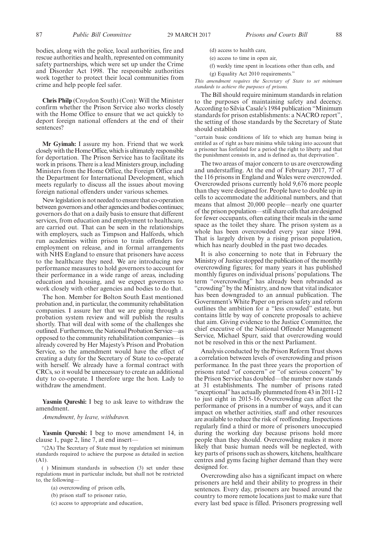bodies, along with the police, local authorities, fire and rescue authorities and health, represented on community safety partnerships, which were set up under the Crime and Disorder Act 1998. The responsible authorities work together to protect their local communities from crime and help people feel safer.

**Chris Philp** (Croydon South) (Con): Will the Minister confirm whether the Prison Service also works closely with the Home Office to ensure that we act quickly to deport foreign national offenders at the end of their sentences?

**Mr Gyimah:** I assure my hon. Friend that we work closely with the Home Office, which is ultimately responsible for deportation. The Prison Service has to facilitate its work in prisons. There is a lead Ministers group, including Ministers from the Home Office, the Foreign Office and the Department for International Development, which meets regularly to discuss all the issues about moving foreign national offenders under various schemes.

New legislation is not needed to ensure that co-operation between governors and other agencies and bodies continues; governors do that on a daily basis to ensure that different services, from education and employment to healthcare, are carried out. That can be seen in the relationships with employers, such as Timpson and Halfords, which run academies within prison to train offenders for employment on release, and in formal arrangements with NHS England to ensure that prisoners have access to the healthcare they need. We are introducing new performance measures to hold governors to account for their performance in a wide range of areas, including education and housing, and we expect governors to work closely with other agencies and bodies to do that.

The hon. Member for Bolton South East mentioned probation and, in particular, the community rehabilitation companies. I assure her that we are going through a probation system review and will publish the results shortly. That will deal with some of the challenges she outlined. Furthermore, the National Probation Service—as opposed to the community rehabilitation companies—is already covered by Her Majesty's Prison and Probation Service, so the amendment would have the effect of creating a duty for the Secretary of State to co-operate with herself. We already have a formal contract with CRCs, so it would be unnecessary to create an additional duty to co-operate. I therefore urge the hon. Lady to withdraw the amendment.

**Yasmin Qureshi:** I beg to ask leave to withdraw the amendment.

*Amendment, by leave, withdrawn.*

**Yasmin Qureshi:** I beg to move amendment 14, in clause 1, page 2, line 7, at end insert—

"(2A) The Secretary of State must by regulation set minimum standards required to achieve the purpose as detailed in section (A1).

( ) Minimum standards in subsection (3) set under these regulations must in particular include, but shall not be restricted to, the following-

- (a) overcrowding of prison cells,
- (b) prison staff to prisoner ratio,
- (c) access to appropriate and education,
- (d) access to health care,
- (e) access to time in open air,
- (f) weekly time spent in locations other than cells, and
- (g) Equality Act 2010 requirements."

*This amendment requires the Secretary of State to set minimum standards to achieve the purposes of prisons.*

The Bill should require minimum standards in relation to the purposes of maintaining safety and decency. According to Silvia Casale's 1984 publication "Minimum standards for prison establishments: a NACRO report", the setting of those standards by the Secretary of State should establish

"certain basic conditions of life to which any human being is entitled as of right as bare minima while taking into account that a prisoner has forfeited for a period the right to liberty and that the punishment consists in, and is defined as, that deprivation".

The two areas of major concern to us are overcrowding and understaffing. At the end of February 2017, 77 of the 116 prisons in England and Wales were overcrowded. Overcrowded prisons currently hold 9,676 more people than they were designed for. People have to double up in cells to accommodate the additional numbers, and that means that almost 20,000 people—nearly one quarter of the prison population—still share cells that are designed for fewer occupants, often eating their meals in the same space as the toilet they share. The prison system as a whole has been overcrowded every year since 1994. That is largely driven by a rising prison population, which has nearly doubled in the past two decades.

It is also concerning to note that in February the Ministry of Justice stopped the publication of the monthly overcrowding figures; for many years it has published monthly figures on individual prisons' populations. The term "overcrowding" has already been rebranded as "crowding" by the Ministry, and now that vital indicator has been downgraded to an annual publication. The Government's White Paper on prison safety and reform outlines the ambition for a "less crowded" estate, but contains little by way of concrete proposals to achieve that aim. Giving evidence to the Justice Committee, the chief executive of the National Offender Management Service, Michael Spurr, said that overcrowding would not be resolved in this or the next Parliament.

Analysis conducted by the Prison Reform Trust shows a correlation between levels of overcrowding and prison performance. In the past three years the proportion of prisons rated "of concern" or "of serious concern" by the Prison Service has doubled—the number now stands at 31 establishments. The number of prisons rated "exceptional"has actually plummeted from 43 in 2011-12 to just eight in 2015-16. Overcrowding can affect the performance of prisons in a number of ways, and it can impact on whether activities, staff and other resources are available to reduce the risk of reoffending. Inspections regularly find a third or more of prisoners unoccupied during the working day because prisons hold more people than they should. Overcrowding makes it more likely that basic human needs will be neglected, with key parts of prisons such as showers, kitchens, healthcare centres and gyms facing higher demand than they were designed for.

Overcrowding also has a significant impact on where prisoners are held and their ability to progress in their sentences. Every day, prisoners are bussed around the country to more remote locations just to make sure that every last bed space is filled. Prisoners progressing well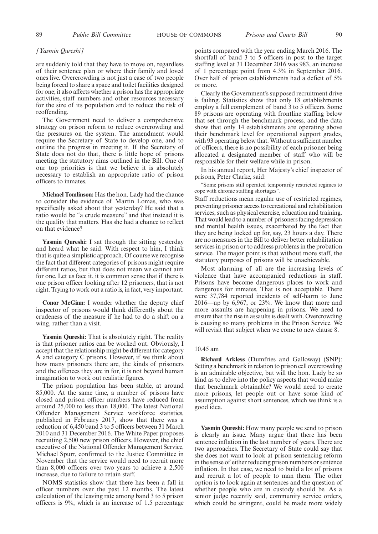#### *[Yasmin Qureshi]*

are suddenly told that they have to move on, regardless of their sentence plan or where their family and loved ones live. Overcrowding is not just a case of two people being forced to share a space and toilet facilities designed for one; it also affects whether a prison has the appropriate activities, staff numbers and other resources necessary for the size of its population and to reduce the risk of reoffending.

The Government need to deliver a comprehensive strategy on prison reform to reduce overcrowding and the pressures on the system. The amendment would require the Secretary of State to develop one, and to outline the progress in meeting it. If the Secretary of State does not do that, there is little hope of prisons meeting the statutory aims outlined in the Bill. One of our top priorities is that we believe it is absolutely necessary to establish an appropriate ratio of prison officers to inmates.

**Michael Tomlinson:** Has the hon. Lady had the chance to consider the evidence of Martin Lomas, who was specifically asked about that yesterday? He said that a ratio would be "a crude measure" and that instead it is the quality that matters. Has she had a chance to reflect on that evidence?

**Yasmin Qureshi:** I sat through the sitting yesterday and heard what he said. With respect to him, I think that is quite a simplistic approach. Of course we recognise the fact that different categories of prisons might require different ratios, but that does not mean we cannot aim for one. Let us face it, it is common sense that if there is one prison officer looking after 12 prisoners, that is not right. Trying to work out a ratio is, in fact, very important.

**Conor McGinn:** I wonder whether the deputy chief inspector of prisons would think differently about the crudeness of the measure if he had to do a shift on a wing, rather than a visit.

**Yasmin Qureshi:** That is absolutely right. The reality is that prisoner ratios can be worked out. Obviously, I accept that the relationship might be different for category A and category C prisons. However, if we think about how many prisoners there are, the kinds of prisoners and the offences they are in for, it is not beyond human imagination to work out realistic figures.

The prison population has been stable, at around 85,000. At the same time, a number of prisons have closed and prison officer numbers have reduced from around 25,000 to less than 18,000. The latest National Offender Management Service workforce statistics, published in February 2017, show that there was a reduction of 6,450 band 3 to 5 officers between 31 March 2010 and 31 December 2016. The White Paper proposes recruiting 2,500 new prison officers. However, the chief executive of the National Offender Management Service, Michael Spurr, confirmed to the Justice Committee in November that the service would need to recruit more than 8,000 officers over two years to achieve a 2,500 increase, due to failure to retain staff.

NOMS statistics show that there has been a fall in officer numbers over the past 12 months. The latest calculation of the leaving rate among band 3 to 5 prison officers is 9%, which is an increase of 1.5 percentage points compared with the year ending March 2016. The shortfall of band 3 to 5 officers in post to the target staffing level at 31 December 2016 was 983, an increase of 1 percentage point from 4.3% in September 2016. Over half of prison establishments had a deficit of 5% or more.

Clearly the Government's supposed recruitment drive is failing. Statistics show that only 18 establishments employ a full complement of band 3 to 5 officers. Some 89 prisons are operating with frontline staffing below that set through the benchmark process, and the data show that only 14 establishments are operating above their benchmark level for operational support grades, with 93 operating below that. Without a sufficient number of officers, there is no possibility of each prisoner being allocated a designated member of staff who will be responsible for their welfare while in prison.

In his annual report, Her Majesty's chief inspector of prisons, Peter Clarke, said:

"Some prisons still operated temporarily restricted regimes to cope with chronic staffing shortages".

Staff reductions mean regular use of restricted regimes, preventing prisoner access to recreational and rehabilitation services, such as physical exercise, education and training. That would lead to a number of prisoners facing depression and mental health issues, exacerbated by the fact that they are being locked up for, say, 23 hours a day. There are no measures in the Bill to deliver better rehabilitation services in prison or to address problems in the probation service. The major point is that without more staff, the statutory purposes of prisons will be unachievable.

Most alarming of all are the increasing levels of violence that have accompanied reductions in staff. Prisons have become dangerous places to work and dangerous for inmates. That is not acceptable. There were 37,784 reported incidents of self-harm to June 2016—up by 6,967, or 23%. We know that more and more assaults are happening in prisons. We need to ensure that the rise in assaults is dealt with. Overcrowding is causing so many problems in the Prison Service. We will revisit that subject when we come to new clause 8.

#### 10.45 am

**Richard Arkless** (Dumfries and Galloway) (SNP): Setting a benchmark in relation to prison cell overcrowding is an admirable objective, but will the hon. Lady be so kind as to delve into the policy aspects that would make that benchmark obtainable? We would need to create more prisons, let people out or have some kind of assumption against short sentences, which we think is a good idea.

**Yasmin Qureshi:** How many people we send to prison is clearly an issue. Many argue that there has been sentence inflation in the last number of years. There are two approaches. The Secretary of State could say that she does not want to look at prison sentencing reform in the sense of either reducing prison numbers or sentence inflation. In that case, we need to build a lot of prisons and recruit a lot of people to man them. The other option is to look again at sentences and the question of whether people who are in custody should be. As a senior judge recently said, community service orders, which could be stringent, could be made more widely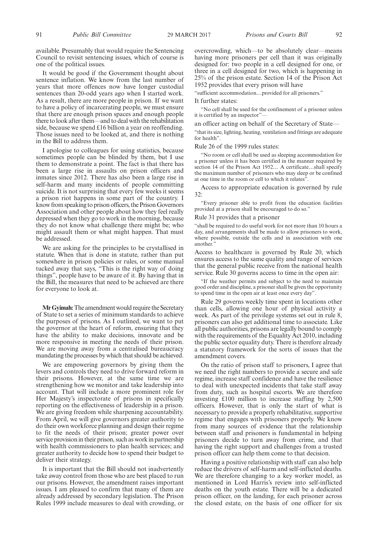It would be good if the Government thought about sentence inflation. We know from the last number of years that more offences now have longer custodial sentences than 20-odd years ago when I started work. As a result, there are more people in prison. If we want to have a policy of incarcerating people, we must ensure that there are enough prison spaces and enough people there to look after them—and to deal with the rehabilitation side, because we spend £16 billion a year on reoffending. Those issues need to be looked at, and there is nothing in the Bill to address them.

I apologise to colleagues for using statistics, because sometimes people can be blinded by them, but I use them to demonstrate a point. The fact is that there has been a large rise in assaults on prison officers and inmates since 2012. There has also been a large rise in self-harm and many incidents of people committing suicide. It is not surprising that every few weeks it seems a prison riot happens in some part of the country. I know from speaking to prison officers, the Prison Governors Association and other people about how they feel really depressed when they go to work in the morning, because they do not know what challenge there might be; who might assault them or what might happen. That must be addressed.

We are asking for the principles to be crystallised in statute. When that is done in statute, rather than put somewhere in prison policies or rules, or some manual tucked away that says, "This is the right way of doing things", people have to be aware of it. By having that in the Bill, the measures that need to be achieved are there for everyone to look at.

**Mr Gyimah:**The amendment would require the Secretary of State to set a series of minimum standards to achieve the purposes of prisons. As I outlined, we want to put the governor at the heart of reform, ensuring that they have the ability to make decisions, innovate and be more responsive in meeting the needs of their prison. We are moving away from a centralised bureaucracy mandating the processes by which that should be achieved.

We are empowering governors by giving them the levers and controls they need to drive forward reform in their prisons. However, at the same time we are strengthening how we monitor and take leadership into account. That will include a more prominent role for Her Majesty's inspectorate of prisons in specifically reporting on the effectiveness of leadership in a prison. We are giving freedom while sharpening accountability. From April, we will give governors greater authority to do their own workforce planning and design their regime to fit the needs of their prison; greater power over service provision in their prison, such as work in partnership with health commissioners to plan health services; and greater authority to decide how to spend their budget to deliver their strategy.

It is important that the Bill should not inadvertently take away control from those who are best placed to run our prisons. However, the amendment raises important issues. I am pleased to confirm that many of them are already addressed by secondary legislation. The Prison Rules 1999 include measures to deal with crowding, or

overcrowding, which—to be absolutely clear—means having more prisoners per cell than it was originally designed for: two people in a cell designed for one, or three in a cell designed for two, which is happening in 25% of the prison estate. Section 14 of the Prison Act 1952 provides that every prison will have

"sufficient accommodation…provided for all prisoners."

#### It further states:

"No cell shall be used for the confinement of a prisoner unless it is certified by an inspector"-

an officer acting on behalf of the Secretary of State—

"that its size, lighting, heating, ventilation and fittings are adequate for health".

#### Rule 26 of the 1999 rules states:

"No room or cell shall be used as sleeping accommodation for a prisoner unless it has been certified in the manner required by section 14 of the Prison Act 1952… A certificate…shall specify the maximum number of prisoners who may sleep or be confined at one time in the room or cell to which it relates".

Access to appropriate education is governed by rule 32:

"Every prisoner able to profit from the education facilities provided at a prison shall be encouraged to do so."

#### Rule 31 provides that a prisoner

"shall be required to do useful work for not more than 10 hours a day, and arrangements shall be made to allow prisoners to work, where possible, outside the cells and in association with one another."

Access to healthcare is governed by Rule 20, which ensures access to the same quality and range of services that the general public receive from the national health service. Rule 30 governs access to time in the open air:

"If the weather permits and subject to the need to maintain good order and discipline, a prisoner shall be given the opportunity to spend time in the open air at least once every day".

Rule 29 governs weekly time spent in locations other than cells, allowing one hour of physical activity a week. As part of the privilege systems set out in rule 8, prisoners can also get additional time to associate. Like all public authorities, prisons are legally bound to comply with the requirements of the Equality Act 2010, including the public sector equality duty. There is therefore already a statutory framework for the sorts of issues that the amendment covers.

On the ratio of prison staff to prisoners, I agree that we need the right numbers to provide a secure and safe regime, increase staff confidence and have the resilience to deal with unexpected incidents that take staff away from duty, such as hospital escorts. We are therefore investing £100 million to increase staffing by 2,500 officers. However, that is only the start of what is necessary to provide a properly rehabilitative, supportive regime that engages with prisoners properly. We know from many sources of evidence that the relationship between staff and prisoners is fundamental in helping prisoners decide to turn away from crime, and that having the right support and challenges from a trusted prison officer can help them come to that decision.

Having a positive relationship with staff can also help reduce the drivers of self-harm and self-inflicted deaths. We are therefore changing to a key worker model, as mentioned in Lord Harris's review into self-inflicted deaths on the youth estate. There will be a dedicated prison officer, on the landing, for each prisoner across the closed estate, on the basis of one officer for six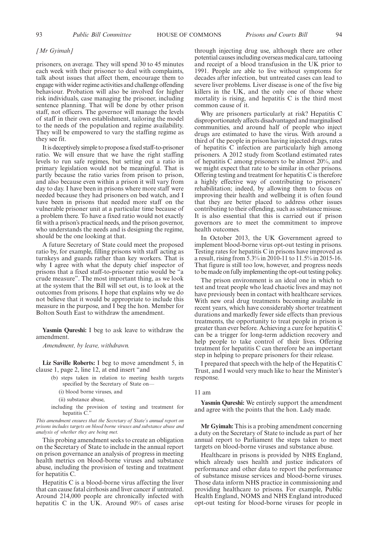#### *[Mr Gyimah]*

prisoners, on average. They will spend 30 to 45 minutes each week with their prisoner to deal with complaints, talk about issues that affect them, encourage them to engage with wider regime activities and challenge offending behaviour. Probation will also be involved for higher risk individuals, case managing the prisoner, including sentence planning. That will be done by other prison staff, not officers. The governor will manage the levels of staff in their own establishment, tailoring the model to the needs of the population and regime availability. They will be empowered to vary the staffing regime as they see fit.

It is deceptively simple to propose a fixed staff-to-prisoner ratio. We will ensure that we have the right staffing levels to run safe regimes, but setting out a ratio in primary legislation would not be meaningful. That is partly because the ratio varies from prison to prison, and also because even within a prison it will vary from day to day. I have been in prisons where more staff were needed because they had prisoners on bed watch, and I have been in prisons that needed more staff on the vulnerable prisoner unit at a particular time because of a problem there. To have a fixed ratio would not exactly fit with a prison's practical needs, and the prison governor, who understands the needs and is designing the regime, should be the one looking at that.

A future Secretary of State could meet the proposed ratio by, for example, filling prisons with staff acting as turnkeys and guards rather than key workers. That is why I agree with what the deputy chief inspector of prisons that a fixed staff-to-prisoner ratio would be "a crude measure". The most important thing, as we look at the system that the Bill will set out, is to look at the outcomes from prisons. I hope that explains why we do not believe that it would be appropriate to include this measure in the purpose, and I beg the hon. Member for Bolton South East to withdraw the amendment.

**Yasmin Qureshi:** I beg to ask leave to withdraw the amendment.

*Amendment, by leave, withdrawn.*

**Liz Saville Roberts:** I beg to move amendment 5, in clause 1, page 2, line 12, at end insert "and

- (b) steps taken in relation to meeting health targets specified by the Secretary of State on—
	- (i) blood borne viruses, and

(ii) substance abuse,

including the provision of testing and treatment for hepatitis C.

*This amendment ensures that the Secretary of State's annual report on prisons includes targets on blood borne viruses and substance abuse and analysis of whether they are being met.*

This probing amendment seeks to create an obligation on the Secretary of State to include in the annual report on prison governance an analysis of progress in meeting health metrics on blood-borne viruses and substance abuse, including the provision of testing and treatment for hepatitis C.

Hepatitis C is a blood-borne virus affecting the liver that can cause fatal cirrhosis and liver cancer if untreated. Around 214,000 people are chronically infected with hepatitis C in the UK. Around 90% of cases arise through injecting drug use, although there are other potential causes including overseas medical care, tattooing and receipt of a blood transfusion in the UK prior to 1991. People are able to live without symptoms for decades after infection, but untreated cases can lead to severe liver problems. Liver disease is one of the five big killers in the UK, and the only one of those where mortality is rising, and hepatitis C is the third most common cause of it.

Why are prisoners particularly at risk? Hepatitis C disproportionately affects disadvantaged and marginalised communities, and around half of people who inject drugs are estimated to have the virus. With around a third of the people in prison having injected drugs, rates of hepatitis C infection are particularly high among prisoners. A 2012 study from Scotland estimated rates of hepatitis C among prisoners to be almost 20%, and we might expect that rate to be similar in other prisons. Offering testing and treatment for hepatitis C is therefore a highly effective way of contributing to prisoners' rehabilitation; indeed, by allowing them to focus on improving their health and wellbeing it is often found that they are better placed to address other issues contributing to their offending, such as substance misuse. It is also essential that this is carried out if prison governors are to meet the commitment to improve health outcomes.

In October 2013, the UK Government agreed to implement blood-borne virus opt-out testing in prisons. Testing rates for hepatitis C in prisons have improved as a result, rising from 5.3% in 2010-11 to 11.5% in 2015-16. That figure is still too low, however, and progress needs to be made on fully implementing the opt-out testing policy.

The prison environment is an ideal one in which to test and treat people who lead chaotic lives and may not have previously been in contact with healthcare services. With new oral drug treatments becoming available in recent years, which have considerably shorter treatment durations and markedly fewer side effects than previous treatments, the opportunity to treat people in prison is greater than ever before. Achieving a cure for hepatitis C can be a trigger for long-term addiction recovery and help people to take control of their lives. Offering treatment for hepatitis C can therefore be an important step in helping to prepare prisoners for their release.

I prepared that speech with the help of the Hepatitis C Trust, and I would very much like to hear the Minister's response.

#### 11 am

**Yasmin Qureshi:** We entirely support the amendment and agree with the points that the hon. Lady made.

**Mr Gyimah:** This is a probing amendment concerning a duty on the Secretary of State to include as part of her annual report to Parliament the steps taken to meet targets on blood-borne viruses and substance abuse.

Healthcare in prisons is provided by NHS England, which already uses health and justice indicators of performance and other data to report the performance of substance misuse services and blood-borne viruses. Those data inform NHS practice in commissioning and providing healthcare to prisons. For example, Public Health England, NOMS and NHS England introduced opt-out testing for blood-borne viruses for people in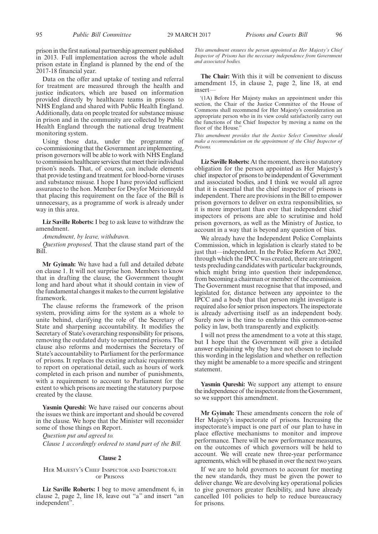prison in the first national partnership agreement published in 2013. Full implementation across the whole adult prison estate in England is planned by the end of the 2017-18 financial year.

Data on the offer and uptake of testing and referral for treatment are measured through the health and justice indicators, which are based on information provided directly by healthcare teams in prisons to NHS England and shared with Public Health England. Additionally, data on people treated for substance misuse in prison and in the community are collected by Public Health England through the national drug treatment monitoring system.

Using those data, under the programme of co-commissioning that the Government are implementing, prison governors will be able to work with NHS England to commission healthcare services that meet their individual prison's needs. That, of course, can include elements that provide testing and treatment for blood-borne viruses and substance misuse. I hope I have provided sufficient assurance to the hon. Member for Dwyfor Meirionnydd that placing this requirement on the face of the Bill is unnecessary, as a programme of work is already under way in this area.

**Liz Saville Roberts:** I beg to ask leave to withdraw the amendment.

*Amendment, by leave, withdrawn.*

*Question proposed,* That the clause stand part of the Bill.

**Mr Gyimah:** We have had a full and detailed debate on clause 1. It will not surprise hon. Members to know that in drafting the clause, the Government thought long and hard about what it should contain in view of the fundamental changes it makes to the current legislative framework.

The clause reforms the framework of the prison system, providing aims for the system as a whole to unite behind, clarifying the role of the Secretary of State and sharpening accountability. It modifies the Secretary of State's overarching responsibility for prisons, removing the outdated duty to superintend prisons. The clause also reforms and modernises the Secretary of State's accountability to Parliament for the performance of prisons. It replaces the existing archaic requirements to report on operational detail, such as hours of work completed in each prison and number of punishments, with a requirement to account to Parliament for the extent to which prisons are meeting the statutory purpose created by the clause.

**Yasmin Qureshi:** We have raised our concerns about the issues we think are important and should be covered in the clause. We hope that the Minister will reconsider some of those things on Report.

*Question put and agreed to. Clause 1 accordingly ordered to stand part of the Bill.*

#### **Clause 2**

#### HER MAJESTY'<sup>S</sup> CHIEF INSPECTOR AND INSPECTORATE OF PRISONS

**Liz Saville Roberts:** I beg to move amendment 6, in clause 2, page 2, line 18, leave out "a" and insert "an independent".

*This amendment ensures the person appointed as Her Majesty's Chief Inspector of Prisons has the necessary independence from Government and associated bodies.*

**The Chair:** With this it will be convenient to discuss amendment 15, in clause 2, page 2, line 18, at end insert—

'(1A) Before Her Majesty makes an appointment under this section, the Chair of the Justice Committee of the House of Commons shall recommend for Her Majesty's consideration an appropriate person who in its view could satisfactorily carry out the functions of the Chief Inspector by moving a name on the floor of the House.

*This amendment provides that the Justice Select Committee should make a recommendation on the appointment of the Chief Inspector of Prisons.*

**Liz Saville Roberts:** At the moment, there is no statutory obligation for the person appointed as Her Majesty's chief inspector of prisons to be independent of Government and associated bodies, and I think we would all agree that it is essential that the chief inspector of prisons is independent. There are provisions in the Bill to empower prison governors to deliver on extra responsibilities, so it is more important than ever that independent chief inspectors of prisons are able to scrutinise and hold prison governors, as well as the Ministry of Justice, to account in a way that is beyond any question of bias.

We already have the Independent Police Complaints Commission, which in legislation is clearly stated to be just that—independent. In the Police Reform Act 2002, through which the IPCC was created, there are stringent tests precluding candidates with particular backgrounds, which might bring into question their independence, from becoming a chairman or member of the commission. The Government must recognise that that imposed, and legislated for, distance between any appointee to the IPCC and a body that that person might investigate is required also for senior prison inspectors. The inspectorate is already advertising itself as an independent body. Surely now is the time to enshrine this common-sense policy in law, both transparently and explicitly.

I will not press the amendment to a vote at this stage, but I hope that the Government will give a detailed answer explaining why they have not chosen to include this wording in the legislation and whether on reflection they might be amenable to a more specific and stringent statement.

**Yasmin Qureshi:** We support any attempt to ensure the independence of the inspectorate from the Government, so we support this amendment.

**Mr Gyimah:** These amendments concern the role of Her Majesty's inspectorate of prisons. Increasing the inspectorate's impact is one part of our plan to have in place effective mechanisms to monitor and improve performance. There will be new performance measures, on the outcomes of which governors will be held to account. We will create new three-year performance agreements, which will be phased in over the next two years.

If we are to hold governors to account for meeting the new standards, they must be given the power to deliver change. We are devolving key operational policies to give governors greater flexibility, and have already cancelled 101 policies to help to reduce bureaucracy for prisons.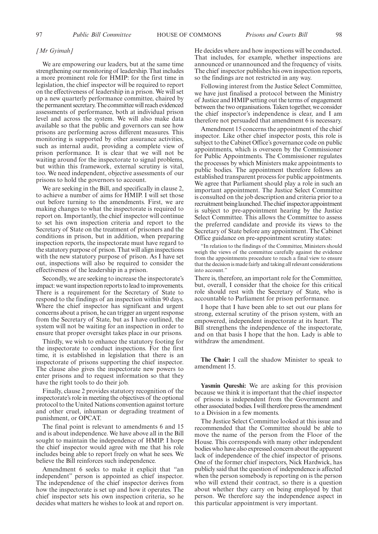#### *[Mr Gyimah]*

We are empowering our leaders, but at the same time strengthening our monitoring of leadership. That includes a more prominent role for HMIP: for the first time in legislation, the chief inspector will be required to report on the effectiveness of leadership in a prison. We will set up a new quarterly performance committee, chaired by the permanent secretary. The committee will reach evidenced assessments of performance, both at individual prison level and across the system. We will also make data available so that the public and governors can see how prisons are performing across different measures. This monitoring is supported by other assurance activities, such as internal audit, providing a complete view of prison performance. It is clear that we will not be waiting around for the inspectorate to signal problems, but within this framework, external scrutiny is vital, too. We need independent, objective assessments of our prisons to hold the governors to account.

We are seeking in the Bill, and specifically in clause 2, to achieve a number of aims for HMIP. I will set those out before turning to the amendments. First, we are making changes to what the inspectorate is required to report on. Importantly, the chief inspector will continue to set his own inspection criteria and report to the Secretary of State on the treatment of prisoners and the conditions in prison, but in addition, when preparing inspection reports, the inspectorate must have regard to the statutory purpose of prison. That will align inspections with the new statutory purpose of prison. As I have set out, inspections will also be required to consider the effectiveness of the leadership in a prison.

Secondly, we are seeking to increase the inspectorate's impact: we want inspection reports to lead to improvements. There is a requirement for the Secretary of State to respond to the findings of an inspection within 90 days. Where the chief inspector has significant and urgent concerns about a prison, he can trigger an urgent response from the Secretary of State, but as I have outlined, the system will not be waiting for an inspection in order to ensure that proper oversight takes place in our prisons.

Thirdly, we wish to enhance the statutory footing for the inspectorate to conduct inspections. For the first time, it is established in legislation that there is an inspectorate of prisons supporting the chief inspector. The clause also gives the inspectorate new powers to enter prisons and to request information so that they have the right tools to do their job.

Finally, clause 2 provides statutory recognition of the inspectorate's role in meeting the objectives of the optional protocol to the United Nations convention against torture and other cruel, inhuman or degrading treatment of punishment, or OPCAT.

The final point is relevant to amendments 6 and 15 and is about independence. We have above all in the Bill sought to maintain the independence of HMIP. I hope the chief inspector would agree with me that his role includes being able to report freely on what he sees. We believe the Bill reinforces such independence.

Amendment 6 seeks to make it explicit that "an independent" person is appointed as chief inspector. The independence of the chief inspector derives from how the inspectorate is set up and how it operates. The chief inspector sets his own inspection criteria, so he decides what matters he wishes to look at and report on.

He decides where and how inspections will be conducted. That includes, for example, whether inspections are announced or unannounced and the frequency of visits. The chief inspector publishes his own inspection reports, so the findings are not restricted in any way.

Following interest from the Justice Select Committee, we have just finalised a protocol between the Ministry of Justice and HMIP setting out the terms of engagement between the two organisations. Taken together, we consider the chief inspector's independence is clear, and I am therefore not persuaded that amendment 6 is necessary.

Amendment 15 concerns the appointment of the chief inspector. Like other chief inspector posts, this role is subject to the Cabinet Office's governance code on public appointments, which is overseen by the Commissioner for Public Appointments. The Commissioner regulates the processes by which Ministers make appointments to public bodies. The appointment therefore follows an established transparent process for public appointments. We agree that Parliament should play a role in such an important appointment. The Justice Select Committee is consulted on the job description and criteria prior to a recruitment being launched. The chief inspector appointment is subject to pre-appointment hearing by the Justice Select Committee. This allows the Committee to assess the preferred candidate and provide its views to the Secretary of State before any appointment. The Cabinet Office guidance on pre-appointment scrutiny states:

"In relation to the findings of the Committee, Ministers should weigh the views of the committee carefully against the evidence from the appointments procedure to reach a final view to ensure that the decision is made fairly and taking all relevant considerations into account."

There is, therefore, an important role for the Committee, but, overall, I consider that the choice for this critical role should rest with the Secretary of State, who is accountable to Parliament for prison performance.

I hope that I have been able to set out our plans for strong, external scrutiny of the prison system, with an empowered, independent inspectorate at its heart. The Bill strengthens the independence of the inspectorate, and on that basis I hope that the hon. Lady is able to withdraw the amendment.

**The Chair:** I call the shadow Minister to speak to amendment 15.

**Yasmin Qureshi:** We are asking for this provision because we think it is important that the chief inspector of prisons is independent from the Government and other associated bodies. I will therefore press the amendment to a Division in a few moments.

The Justice Select Committee looked at this issue and recommended that the Committee should be able to move the name of the person from the Floor of the House. This corresponds with many other independent bodies who have also expressed concern about the apparent lack of independence of the chief inspector of prisons. One of the former chief inspectors, Nick Hardwick, has publicly said that the question of independence is affected when the person somebody is reporting on is the person who will extend their contract, so there is a question about whether they carry on being employed by that person. We therefore say the independence aspect in this particular appointment is very important.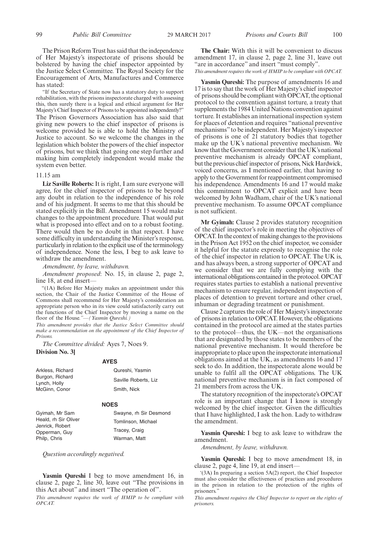The Prison Reform Trust has said that the independence of Her Majesty's inspectorate of prisons should be bolstered by having the chief inspector appointed by the Justice Select Committee. The Royal Society for the Encouragement of Arts, Manufactures and Commerce has stated:

"If the Secretary of State now has a statutory duty to support rehabilitation, with the prisons inspectorate charged with assessing this, then surely there is a logical and ethical argument for Her Majesty's Chief Inspector of Prisons to be appointed independently?" The Prison Governors Association has also said that giving new powers to the chief inspector of prisons is welcome provided he is able to hold the Ministry of Justice to account. So we welcome the changes in the legislation which bolster the powers of the chief inspector of prisons, but we think that going one step further and making him completely independent would make the system even better.

#### 11.15 am

**Liz Saville Roberts:** It is right, I am sure everyone will agree, for the chief inspector of prisons to be beyond any doubt in relation to the independence of his role and of his judgment. It seems to me that this should be stated explicitly in the Bill. Amendment 15 would make changes to the appointment procedure. That would put what is proposed into effect and on to a robust footing. There would then be no doubt in that respect. I have some difficulty in understanding the Minister's response, particularly in relation to the explicit use of the terminology of independence. None the less, I beg to ask leave to withdraw the amendment.

*Amendment, by leave, withdrawn.*

*Amendment proposed*: No. 15, in clause 2, page 2, line 18, at end insert-

"(1A) Before Her Majesty makes an appointment under this section, the Chair of the Justice Committee of the House of Commons shall recommend for Her Majesty's consideration an appropriate person who in its view could satisfactorily carry out the functions of the Chief Inspector by moving a name on the floor of the House*."—(Yasmin Qureshi.)*

*This amendment provides that the Justice Select Committee should make a recommendation on the appointment of the Chief Inspector of Prisons.*

*The Committee divided:* Ayes 7, Noes 9. **Division No. 3]**

#### **AYES**

| Qureshi, Yasmin      |
|----------------------|
| Saville Roberts, Liz |
| Smith, Nick          |
|                      |

#### **NOES**

Gyimah, Mr Sam Heald, rh Sir Oliver Jenrick, Robert Opperman, Guy Philp, Chris

Swayne, rh Sir Desmond Tomlinson, Michael Tracey, Craig Warman, Matt

*Question accordingly negatived.*

**Yasmin Qureshi** I beg to move amendment 16, in clause 2, page 2, line 30, leave out "The provisions in this Act about" and insert "The operation of".

*This amendment requires the work of HMIP to be compliant with OPCAT.*

**The Chair:** With this it will be convenient to discuss amendment 17, in clause 2, page 2, line 31, leave out "are in accordance" and insert "must comply". *This amendment requires the work of HMIP to be compliant with OPCAT.*

**Yasmin Qureshi:** The purpose of amendments 16 and 17 is to say that the work of Her Majesty's chief inspector of prisons should be compliant with OPCAT, the optional protocol to the convention against torture, a treaty that supplements the 1984 United Nations convention against torture. It establishes an international inspection system for places of detention and requires "national preventive mechanisms"to be independent. Her Majesty's inspector of prisons is one of 21 statutory bodies that together make up the UK's national preventive mechanism. We know that the Government consider that the UK's national preventive mechanism is already OPCAT compliant, but the previous chief inspector of prisons, Nick Hardwick, voiced concerns, as I mentioned earlier, that having to apply to the Government for reappointment compromised his independence. Amendments 16 and 17 would make this commitment to OPCAT explicit and have been welcomed by John Wadham, chair of the UK's national preventive mechanism. To assume OPCAT compliance is not sufficient.

**Mr Gyimah:** Clause 2 provides statutory recognition of the chief inspector's role in meeting the objectives of OPCAT. In the context of making changes to the provisions in the Prison Act 1952 on the chief inspector, we consider it helpful for the statute expressly to recognise the role of the chief inspector in relation to OPCAT. The UK is, and has always been, a strong supporter of OPCAT and we consider that we are fully complying with the international obligations contained in the protocol. OPCAT requires states parties to establish a national preventive mechanism to ensure regular, independent inspection of places of detention to prevent torture and other cruel, inhuman or degrading treatment or punishment.

Clause 2 captures the role of Her Majesty's inspectorate of prisons in relation to OPCAT. However, the obligations contained in the protocol are aimed at the states parties to the protocol—thus, the UK—not the organisations that are designated by those states to be members of the national preventive mechanism. It would therefore be inappropriate to place upon the inspectorate international obligations aimed at the UK, as amendments 16 and 17 seek to do. In addition, the inspectorate alone would be unable to fulfil all the OPCAT obligations. The UK national preventive mechanism is in fact composed of 21 members from across the UK.

The statutory recognition of the inspectorate's OPCAT role is an important change that I know is strongly welcomed by the chief inspector. Given the difficulties that I have highlighted, I ask the hon. Lady to withdraw the amendment.

**Yasmin Qureshi:** I beg to ask leave to withdraw the amendment.

*Amendment, by leave, withdrawn.*

**Yasmin Qureshi:** I beg to move amendment 18, in clause 2, page 4, line 19, at end insert—

'(3A) In preparing a section 5A(2) report, the Chief Inspector must also consider the effectiveness of practices and procedures in the prison in relation to the protection of the rights of prisoners."

*This amendment requires the Chief Inspector to report on the rights of prisoners.*